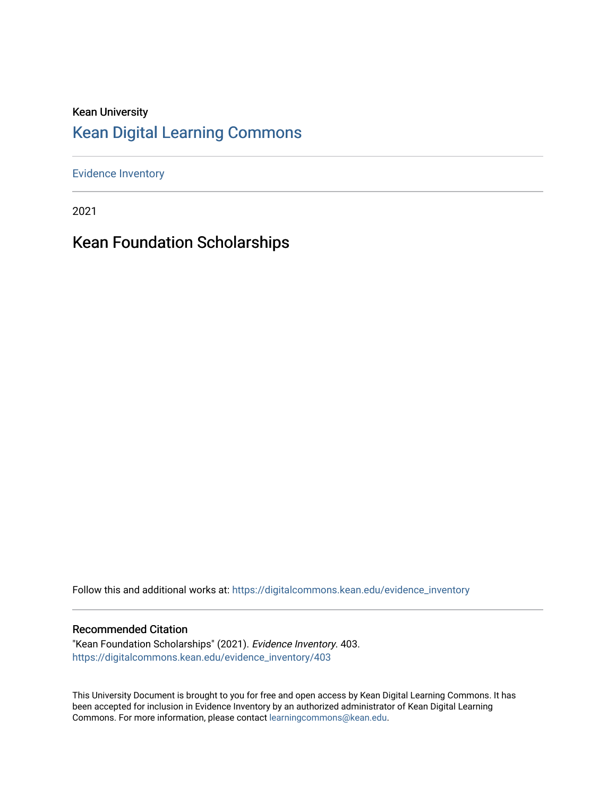### Kean University [Kean Digital Learning Commons](https://digitalcommons.kean.edu/)

[Evidence Inventory](https://digitalcommons.kean.edu/evidence_inventory) 

2021

# Kean Foundation Scholarships

Follow this and additional works at: [https://digitalcommons.kean.edu/evidence\\_inventory](https://digitalcommons.kean.edu/evidence_inventory?utm_source=digitalcommons.kean.edu%2Fevidence_inventory%2F403&utm_medium=PDF&utm_campaign=PDFCoverPages)

#### Recommended Citation

"Kean Foundation Scholarships" (2021). Evidence Inventory. 403. [https://digitalcommons.kean.edu/evidence\\_inventory/403](https://digitalcommons.kean.edu/evidence_inventory/403?utm_source=digitalcommons.kean.edu%2Fevidence_inventory%2F403&utm_medium=PDF&utm_campaign=PDFCoverPages)

This University Document is brought to you for free and open access by Kean Digital Learning Commons. It has been accepted for inclusion in Evidence Inventory by an authorized administrator of Kean Digital Learning Commons. For more information, please contact [learningcommons@kean.edu.](mailto:learningcommons@kean.edu)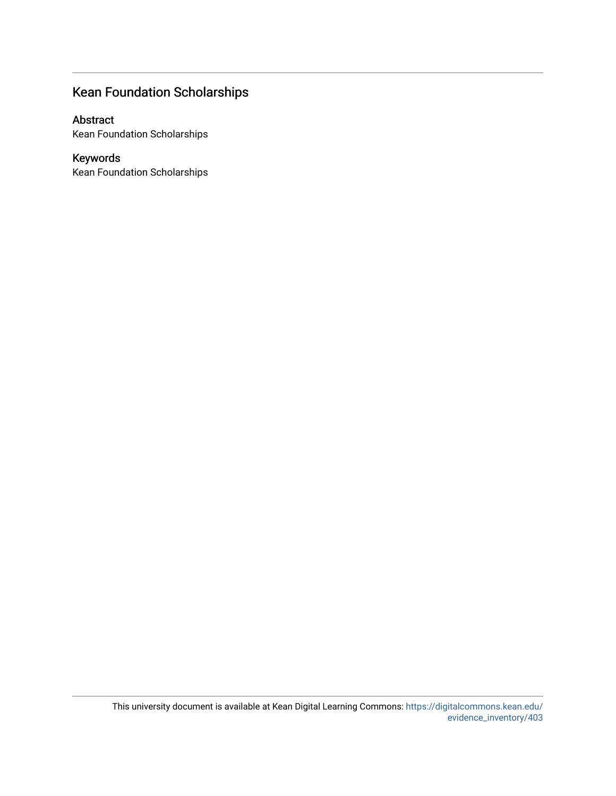## Kean Foundation Scholarships

#### Abstract

Kean Foundation Scholarships

#### Keywords

Kean Foundation Scholarships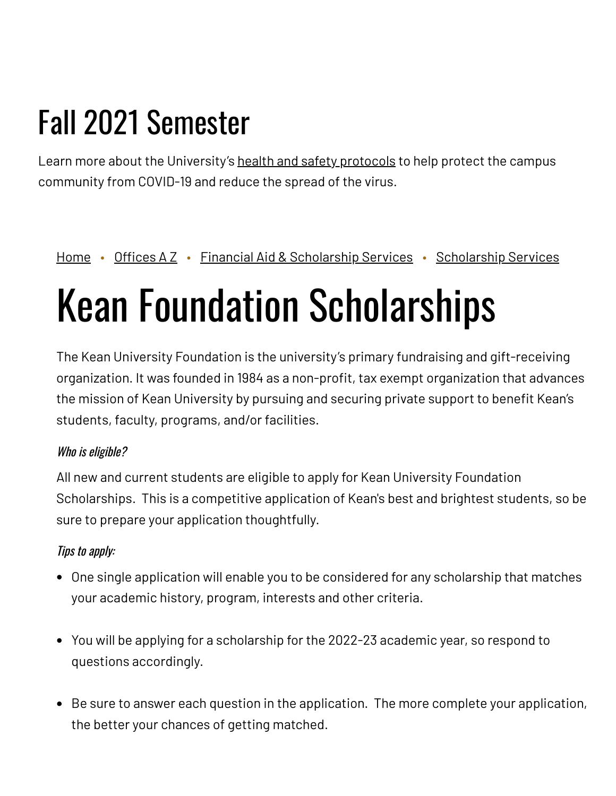# Fall 2021 Semester

Learn more about the University's health and safety [protocols](https://www.kean.edu/welcome-fall-2021-semester) to help protect the campus community from COVID-19 and reduce the spread of the virus.

## [Home](https://www.kean.edu/) • [Offices](https://www.kean.edu/offices) A Z • Financial Aid & [Scholarship](https://www.kean.edu/offices/financial-aid/scholarship-services) Services • Scholarship Services

# Kean Foundation Scholarships

The Kean University Foundation is the university's primary fundraising and gift-receiving organization. It was founded in 1984 as a non-profit, tax exempt organization that advances the mission of Kean University by pursuing and securing private support to benefit Kean's students, faculty, programs, and/or facilities.

#### Who is eligible?

All new and current students are eligible to apply for Kean University Foundation Scholarships. This is a competitive application of Kean's best and brightest students, so be sure to prepare your application thoughtfully.

#### Tips to apply:

- One single application will enable you to be considered for any scholarship that matches your academic history, program, interests and other criteria.
- You will be applying for a scholarship for the 2022-23 academic year, so respond to questions accordingly.
- Be sure to answer each question in the application. The more complete your application, the better your chances of getting matched.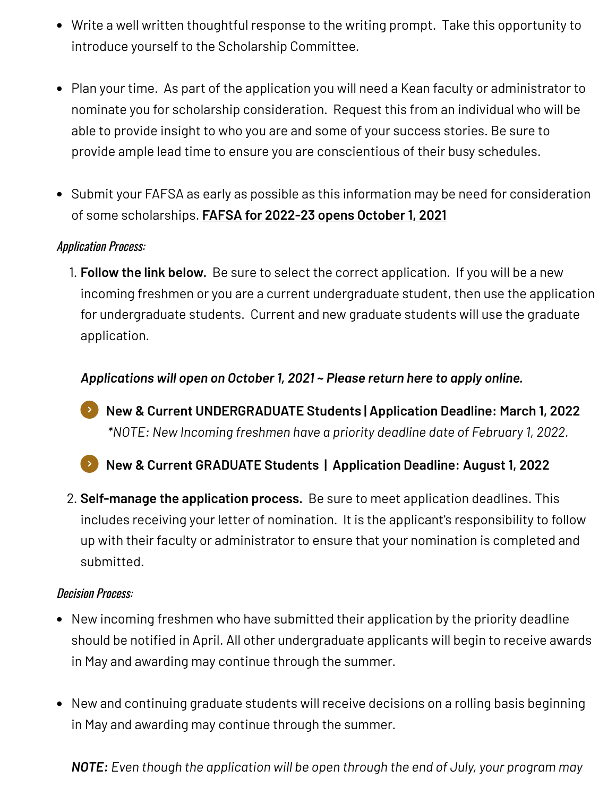- Write a well written thoughtful response to the writing prompt. Take this opportunity to introduce yourself to the Scholarship Committee.
- Plan your time. As part of the application you will need a Kean faculty or administrator to nominate you for scholarship consideration. Request this from an individual who will be able to provide insight to who you are and some of your success stories. Be sure to provide ample lead time to ensure you are conscientious of their busy schedules.
- Submit your FAFSA as early as possible as this information may be need for consideration of some scholarships. **FAFSA for [2022-23](https://studentaid.gov/h/apply-for-aid/fafsa) opens October 1, 2021**

#### Application Process:

1. **Follow the link below.** Be sure to select the correct application. If you will be a new incoming freshmen or you are a current undergraduate student, then use the application for undergraduate students. Current and new graduate students will use the graduate application.

*Applications will open on October 1, 2021 ~ Please return here to apply online.*

*\*NOTE: New Incoming freshmen have a priority deadline date of February 1, 2022.* **New & Current [UNDERGRADUATE](https://kean.scholarships.ngwebsolutions.com/ScholarX_ApplyForScholarship.aspx?applicationformid=20214&AYID=1477) Students | Application Deadline: March 1, 2022**

**New & Current GRADUATE Students | [Application](https://kean.scholarships.ngwebsolutions.com/ScholarX_ApplyForScholarship.aspx?applicationformid=20238&AYID=1477) Deadline: August 1, 2022** 

2. **Self-manage the application process.** Be sure to meet application deadlines. This includes receiving your letter of nomination. It is the applicant's responsibility to follow up with their faculty or administrator to ensure that your nomination is completed and submitted.

#### Decision Process:

- New incoming freshmen who have submitted their application by the priority deadline should be notified in April. All other undergraduate applicants will begin to receive awards in May and awarding may continue through the summer.
- New and continuing graduate students will receive decisions on a rolling basis beginning in May and awarding may continue through the summer.

*NOTE: Even though the application will be open through the end of July, your program may*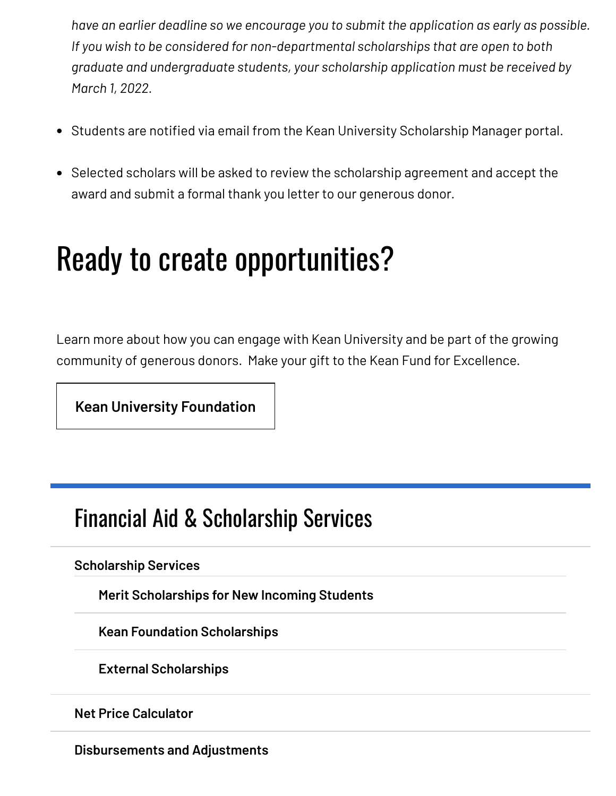*have an earlier deadline so we encourage you to submit the application as early as possible. If you wish to be considered for non-departmental scholarships that are open to both graduate and undergraduate students, your scholarship application must be received by March 1, 2022.*

- Students are notified via email from the Kean University Scholarship Manager portal.
- Selected scholars will be asked to review the scholarship agreement and accept the award and submit a formal thank you letter to our generous donor.

# Ready to create opportunities?

Learn more about how you can engage with Kean University and be part of the growing community of generous donors. Make your gift to the Kean Fund for Excellence.

**[Kean University Foundation](https://www.keanfoundation.org/foundation)**

# Financial Aid & [Scholarship](https://www.kean.edu/offices/financial-aid) Services

#### **[Scholarship](https://www.kean.edu/offices/financial-aid/scholarship-services) Services**

**Merit [Scholarships](https://www.kean.edu/offices/financial-aid/scholarship-services/merit-scholarships-new-incoming-students) for New Incoming Students**

**Kean Foundation [Scholarships](https://www.kean.edu/offices/financial-aid/scholarship-services/kean-foundation-scholarships)**

**External [Scholarships](https://www.kean.edu/offices/financial-aid/scholarship-services/external-scholarships)**

**Net Price [Calculator](https://www.kean.edu/offices/financial-aid/financial-aid-estimators)**

**[Disbursements](https://www.kean.edu/offices/financial-aid/disbursements-and-adjustments) and Adjustments**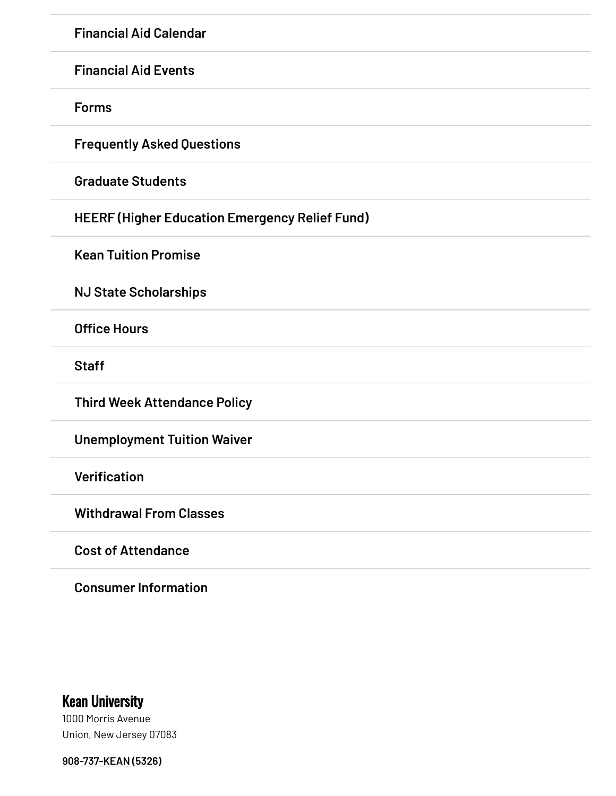**[Financial](https://www.kean.edu/offices/financial-aid/financial-aid-events) Aid Events**

**[Forms](https://www.kean.edu/offices/financial-aid/financial-aid-forms)**

**[Frequently](https://www.kean.edu/offices/financial-aid/frequently-asked-questions-aid) Asked Questions**

**[Graduate](https://www.kean.edu/offices/financial-aid/graduate-students) Students**

**HEERF (Higher Education [Emergency](https://www.kean.edu/offices/financial-aid/heerf-higher-education-emergency-relief-fund) Relief Fund)**

**Kean Tuition [Promise](https://www.kean.edu/offices/financial-aid/kean-tuition-promise)**

**NJ State [Scholarships](https://www.kean.edu/offices/financial-aid/nj-state-scholarships)**

**[Office](https://www.kean.edu/offices/financial-aid/financial-aid-office-hours) Hours**

**[Staff](https://www.kean.edu/financial-aid-staff)**

**Third Week [Attendance](https://www.kean.edu/offices/financial-aid/third-week-attendance-policy) Policy**

**[Unemployment](https://www.kean.edu/offices/financial-aid/unemployment-tuition-waiver) Tuition Waiver**

**[Verification](https://www.kean.edu/offices/financial-aid/verification)**

**[Withdrawal](https://www.kean.edu/offices/financial-aid/withdrawal-classes) From Classes**

**Cost of [Attendance](https://www.kean.edu/offices/financial-aid/cost-attendance)**

**Consumer [Information](https://www.kean.edu/offices/financial-aid/consumer-information)**

## Kean University

1000 Morris Avenue Union, New Jersey 07083

**[908-737-KEAN](tel:908-737-5326) (5326)**